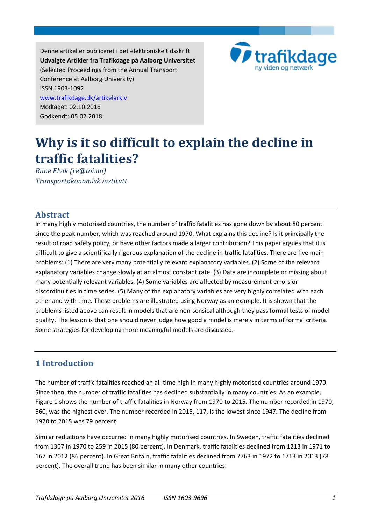Denne artikel er publiceret i det elektroniske tidsskrift **Udvalgte Artikler fra Trafikdage på Aalborg Universitet** (Selected Proceedings from the Annual Transport Conference at Aalborg University) ISSN 1903-1092 [www.trafikdage.dk/artikelarkiv](http://www.trafikdage.dk/arkiv/artikelarkiv/) Modtaget: 02.10.2016 Godkendt: 05.02.2018



# **Why is it so difficult to explain the decline in traffic fatalities?**

*Rune Elvik (re@toi.no) Transportøkonomisk institutt*

#### **Abstract**

In many highly motorised countries, the number of traffic fatalities has gone down by about 80 percent since the peak number, which was reached around 1970. What explains this decline? Is it principally the result of road safety policy, or have other factors made a larger contribution? This paper argues that it is difficult to give a scientifically rigorous explanation of the decline in traffic fatalities. There are five main problems: (1) There are very many potentially relevant explanatory variables. (2) Some of the relevant explanatory variables change slowly at an almost constant rate. (3) Data are incomplete or missing about many potentially relevant variables. (4) Some variables are affected by measurement errors or discontinuities in time series. (5) Many of the explanatory variables are very highly correlated with each other and with time. These problems are illustrated using Norway as an example. It is shown that the problems listed above can result in models that are non-sensical although they pass formal tests of model quality. The lesson is that one should never judge how good a model is merely in terms of formal criteria. Some strategies for developing more meaningful models are discussed.

### **1 Introduction**

The number of traffic fatalities reached an all-time high in many highly motorised countries around 1970. Since then, the number of traffic fatalities has declined substantially in many countries. As an example, Figure 1 shows the number of traffic fatalities in Norway from 1970 to 2015. The number recorded in 1970, 560, was the highest ever. The number recorded in 2015, 117, is the lowest since 1947. The decline from 1970 to 2015 was 79 percent.

Similar reductions have occurred in many highly motorised countries. In Sweden, traffic fatalities declined from 1307 in 1970 to 259 in 2015 (80 percent). In Denmark, traffic fatalities declined from 1213 in 1971 to 167 in 2012 (86 percent). In Great Britain, traffic fatalities declined from 7763 in 1972 to 1713 in 2013 (78 percent). The overall trend has been similar in many other countries.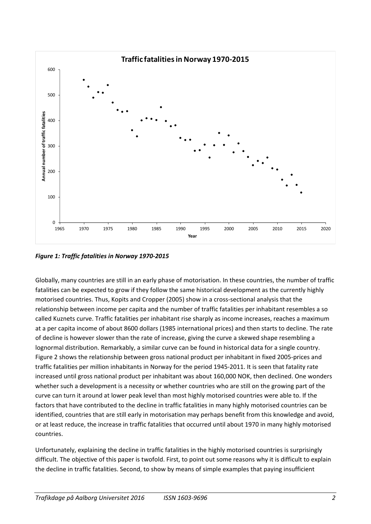

*Figure 1: Traffic fatalities in Norway 1970-2015*

Globally, many countries are still in an early phase of motorisation. In these countries, the number of traffic fatalities can be expected to grow if they follow the same historical development as the currently highly motorised countries. Thus, Kopits and Cropper (2005) show in a cross-sectional analysis that the relationship between income per capita and the number of traffic fatalities per inhabitant resembles a so called Kuznets curve. Traffic fatalities per inhabitant rise sharply as income increases, reaches a maximum at a per capita income of about 8600 dollars (1985 international prices) and then starts to decline. The rate of decline is however slower than the rate of increase, giving the curve a skewed shape resembling a lognormal distribution. Remarkably, a similar curve can be found in historical data for a single country. Figure 2 shows the relationship between gross national product per inhabitant in fixed 2005-prices and traffic fatalities per million inhabitants in Norway for the period 1945-2011. It is seen that fatality rate increased until gross national product per inhabitant was about 160,000 NOK, then declined. One wonders whether such a development is a necessity or whether countries who are still on the growing part of the curve can turn it around at lower peak level than most highly motorised countries were able to. If the factors that have contributed to the decline in traffic fatalities in many highly motorised countries can be identified, countries that are still early in motorisation may perhaps benefit from this knowledge and avoid, or at least reduce, the increase in traffic fatalities that occurred until about 1970 in many highly motorised countries.

Unfortunately, explaining the decline in traffic fatalities in the highly motorised countries is surprisingly difficult. The objective of this paper is twofold. First, to point out some reasons why it is difficult to explain the decline in traffic fatalities. Second, to show by means of simple examples that paying insufficient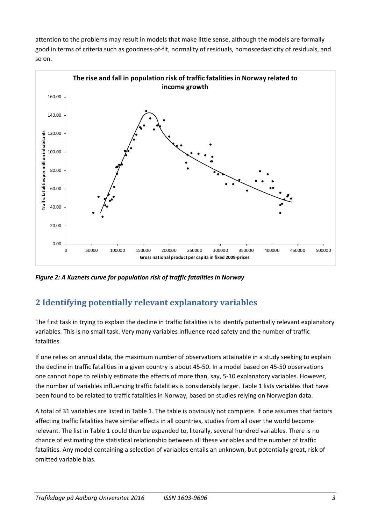attention to the problems may result in models that make little sense, although the models are formally good in terms of criteria such as goodness-of-fit, normality of residuals, homoscedasticity of residuals, and so on.



*Figure 2: A Kuznets curve for population risk of traffic fatalities in Norway* 

## **2 Identifying potentially relevant explanatory variables**

The first task in trying to explain the decline in traffic fatalities is to identify potentially relevant explanatory variables. This is no small task. Very many variables influence road safety and the number of traffic fatalities.

If one relies on annual data, the maximum number of observations attainable in a study seeking to explain the decline in traffic fatalities in a given country is about 45-50. In a model based on 45-50 observations one cannot hope to reliably estimate the effects of more than, say, 5-10 explanatory variables. However, the number of variables influencing traffic fatalities is considerably larger. Table 1 lists variables that have been found to be related to traffic fatalities in Norway, based on studies relying on Norwegian data.

A total of 31 variables are listed in Table 1. The table is obviously not complete. If one assumes that factors affecting traffic fatalities have similar effects in all countries, studies from all over the world become relevant. The list in Table 1 could then be expanded to, literally, several hundred variables. There is no chance of estimating the statistical relationship between all these variables and the number of traffic fatalities. Any model containing a selection of variables entails an unknown, but potentially great, risk of omitted variable bias.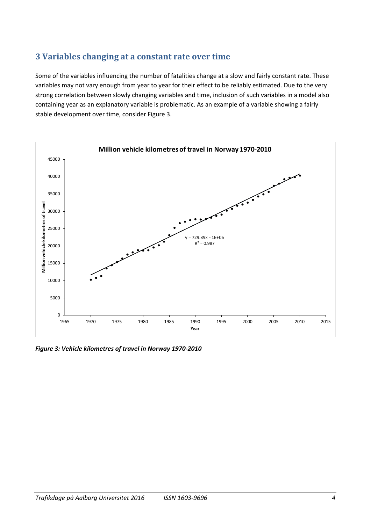### **3 Variables changing at a constant rate over time**

Some of the variables influencing the number of fatalities change at a slow and fairly constant rate. These variables may not vary enough from year to year for their effect to be reliably estimated. Due to the very strong correlation between slowly changing variables and time, inclusion of such variables in a model also containing year as an explanatory variable is problematic. As an example of a variable showing a fairly stable development over time, consider Figure 3.



*Figure 3: Vehicle kilometres of travel in Norway 1970-2010*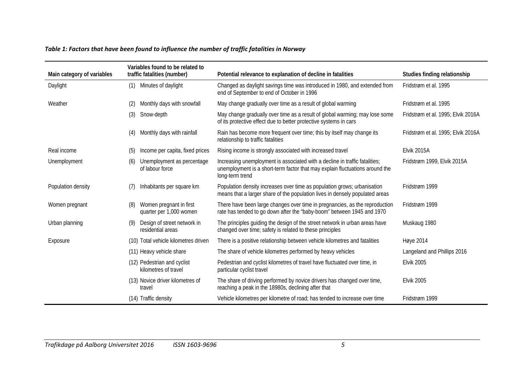#### *Table 1: Factors that have been found to influence the number of traffic fatalities in Norway*

| Main category of variables | Variables found to be related to<br>traffic fatalities (number) | Potential relevance to explanation of decline in fatalities                                                                                                                    | Studies finding relationship       |  |  |
|----------------------------|-----------------------------------------------------------------|--------------------------------------------------------------------------------------------------------------------------------------------------------------------------------|------------------------------------|--|--|
| Daylight                   | Minutes of daylight<br>(1)                                      | Changed as daylight savings time was introduced in 1980, and extended from<br>end of September to end of October in 1996                                                       | Fridstrøm et al. 1995              |  |  |
| Weather                    | Monthly days with snowfall<br>(2)                               | May change gradually over time as a result of global warming                                                                                                                   | Fridstrøm et al. 1995              |  |  |
|                            | Snow-depth<br>(3)                                               | May change gradually over time as a result of global warming; may lose some<br>of its protective effect due to better protective systems in cars                               | Fridstrøm et al. 1995; Elvik 2016A |  |  |
|                            | Monthly days with rainfall<br>(4)                               | Rain has become more frequent over time; this by itself may change its<br>relationship to traffic fatalities                                                                   | Fridstrøm et al. 1995; Elvik 2016A |  |  |
| Real income                | Income per capita, fixed prices<br>(5)                          | Rising income is strongly associated with increased travel                                                                                                                     | Elvik 2015A                        |  |  |
| Unemployment               | Unemployment as percentage<br>(6)<br>of labour force            | Increasing unemployment is associated with a decline in traffic fatalities;<br>unemployment is a short-term factor that may explain fluctuations around the<br>long-term trend | Fridstrøm 1999, Elvik 2015A        |  |  |
| Population density         | Inhabitants per square km<br>(7)                                | Population density increases over time as population grows; urbanisation<br>means that a larger share of the population lives in densely populated areas                       | Fridstrøm 1999                     |  |  |
| Women pregnant             | Women pregnant in first<br>(8)<br>quarter per 1,000 women       | There have been large changes over time in pregnancies, as the reproduction<br>rate has tended to go down after the "baby-boom" between 1945 and 1970                          | Fridstrøm 1999                     |  |  |
| Urban planning             | Design of street network in<br>(9)<br>residential areas         | The principles guiding the design of the street network in urban areas have<br>changed over time; safety is related to these principles                                        | Muskaug 1980                       |  |  |
| Exposure                   | (10) Total vehicle kilometres driven                            | There is a positive relationship between vehicle kilometres and fatalities                                                                                                     | Høye 2014                          |  |  |
|                            | (11) Heavy vehicle share                                        | The share of vehicle kilometres performed by heavy vehicles                                                                                                                    | Langeland and Phillips 2016        |  |  |
|                            | (12) Pedestrian and cyclist<br>kilometres of travel             | Pedestrian and cyclist kilometres of travel have fluctuated over time, in<br>particular cyclist travel                                                                         | <b>Elvik 2005</b>                  |  |  |
|                            | (13) Novice driver kilometres of<br>travel                      | The share of driving performed by novice drivers has changed over time,<br>reaching a peak in the 18980s, declining after that                                                 | <b>Elvik 2005</b>                  |  |  |
|                            | (14) Traffic density                                            | Vehicle kilometres per kilometre of road; has tended to increase over time                                                                                                     | Fridstrøm 1999                     |  |  |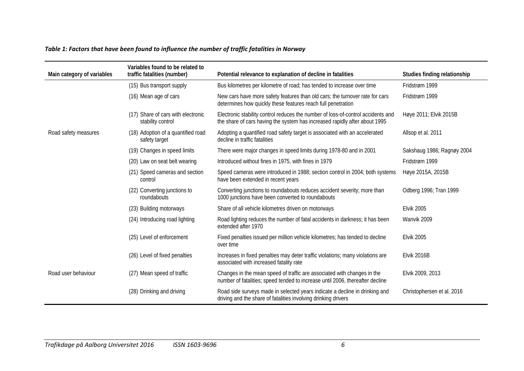#### *Table 1: Factors that have been found to influence the number of traffic fatalities in Norway*

| Main category of variables | Variables found to be related to<br>traffic fatalities (number) | Potential relevance to explanation of decline in fatalities                                                                                                    | Studies finding relationship |
|----------------------------|-----------------------------------------------------------------|----------------------------------------------------------------------------------------------------------------------------------------------------------------|------------------------------|
|                            | (15) Bus transport supply                                       | Bus kilometres per kilometre of road; has tended to increase over time                                                                                         | Fridstrøm 1999               |
|                            | (16) Mean age of cars                                           | New cars have more safety features than old cars; the turnover rate for cars<br>determines how quickly these features reach full penetration                   | Fridstrøm 1999               |
|                            | (17) Share of cars with electronic<br>stability control         | Electronic stability control reduces the number of loss-of-control accidents and<br>the share of cars having the system has increased rapidly after about 1995 | Høye 2011; Elvik 2015B       |
| Road safety measures       | (18) Adoption of a quantified road<br>safety target             | Adopting a quantified road safety target is associated with an accelerated<br>decline in traffic fatalities                                                    | Allsop et al. 2011           |
|                            | (19) Changes in speed limits                                    | There were major changes in speed limits during 1978-80 and in 2001                                                                                            | Sakshaug 1986; Ragnøy 2004   |
|                            | (20) Law on seat belt wearing                                   | Introduced without fines in 1975, with fines in 1979                                                                                                           | Fridstrøm 1999               |
|                            | (21) Speed cameras and section<br>control                       | Speed cameras were introduced in 1988; section control in 2004; both systems<br>have been extended in recent years                                             | Høye 2015A, 2015B            |
|                            | (22) Converting junctions to<br>roundabouts                     | Converting junctions to roundabouts reduces accident severity; more than<br>1000 junctions have been converted to roundabouts                                  | Odberg 1996; Tran 1999       |
|                            | (23) Building motorways                                         | Share of all vehicle kilometres driven on motorways                                                                                                            | <b>Elvik 2005</b>            |
|                            | (24) Introducing road lighting                                  | Road lighting reduces the number of fatal accidents in darkness; it has been<br>extended after 1970                                                            | Wanvik 2009                  |
|                            | (25) Level of enforcement                                       | Fixed penalties issued per million vehicle kilometres; has tended to decline<br>over time                                                                      | <b>Elvik 2005</b>            |
|                            | (26) Level of fixed penalties                                   | Increases in fixed penalties may deter traffic violations; many violations are<br>associated with increased fatality rate                                      | Elvik 2016B                  |
| Road user behaviour        | (27) Mean speed of traffic                                      | Changes in the mean speed of traffic are associated with changes in the<br>number of fatalities; speed tended to increase until 2006, thereafter decline       | Elvik 2009, 2013             |
|                            | (28) Drinking and driving                                       | Road side surveys made in selected years indicate a decline in drinking and<br>driving and the share of fatalities involving drinking drivers                  | Christophersen et al. 2016   |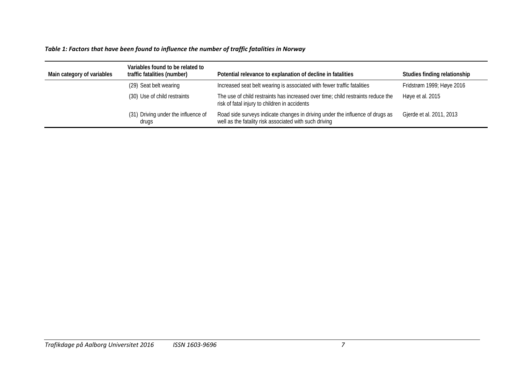#### *Table 1: Factors that have been found to influence the number of traffic fatalities in Norway*

| Main category of variables | Variables found to be related to<br>traffic fatalities (number) | Potential relevance to explanation of decline in fatalities                                                                             | Studies finding relationship |
|----------------------------|-----------------------------------------------------------------|-----------------------------------------------------------------------------------------------------------------------------------------|------------------------------|
|                            | (29) Seat belt wearing                                          | Increased seat belt wearing is associated with fewer traffic fatalities                                                                 | Fridstrøm 1999; Høye 2016    |
|                            | (30) Use of child restraints                                    | The use of child restraints has increased over time; child restraints reduce the<br>risk of fatal injury to children in accidents       | Høye et al. 2015             |
|                            | (31) Driving under the influence of<br>drugs                    | Road side surveys indicate changes in driving under the influence of drugs as<br>well as the fatality risk associated with such driving | Gjerde et al. 2011, 2013     |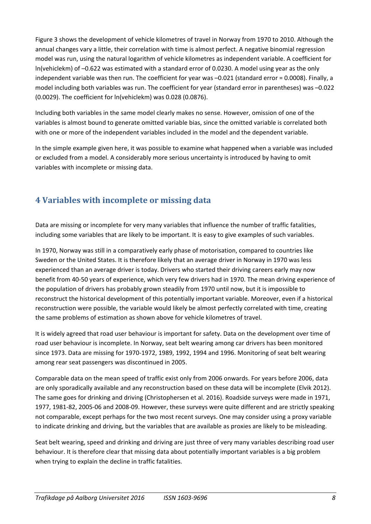Figure 3 shows the development of vehicle kilometres of travel in Norway from 1970 to 2010. Although the annual changes vary a little, their correlation with time is almost perfect. A negative binomial regression model was run, using the natural logarithm of vehicle kilometres as independent variable. A coefficient for ln(vehiclekm) of –0.622 was estimated with a standard error of 0.0230. A model using year as the only independent variable was then run. The coefficient for year was –0.021 (standard error = 0.0008). Finally, a model including both variables was run. The coefficient for year (standard error in parentheses) was –0.022 (0.0029). The coefficient for ln(vehiclekm) was 0.028 (0.0876).

Including both variables in the same model clearly makes no sense. However, omission of one of the variables is almost bound to generate omitted variable bias, since the omitted variable is correlated both with one or more of the independent variables included in the model and the dependent variable.

In the simple example given here, it was possible to examine what happened when a variable was included or excluded from a model. A considerably more serious uncertainty is introduced by having to omit variables with incomplete or missing data.

# **4 Variables with incomplete or missing data**

Data are missing or incomplete for very many variables that influence the number of traffic fatalities, including some variables that are likely to be important. It is easy to give examples of such variables.

In 1970, Norway was still in a comparatively early phase of motorisation, compared to countries like Sweden or the United States. It is therefore likely that an average driver in Norway in 1970 was less experienced than an average driver is today. Drivers who started their driving careers early may now benefit from 40-50 years of experience, which very few drivers had in 1970. The mean driving experience of the population of drivers has probably grown steadily from 1970 until now, but it is impossible to reconstruct the historical development of this potentially important variable. Moreover, even if a historical reconstruction were possible, the variable would likely be almost perfectly correlated with time, creating the same problems of estimation as shown above for vehicle kilometres of travel.

It is widely agreed that road user behaviour is important for safety. Data on the development over time of road user behaviour is incomplete. In Norway, seat belt wearing among car drivers has been monitored since 1973. Data are missing for 1970-1972, 1989, 1992, 1994 and 1996. Monitoring of seat belt wearing among rear seat passengers was discontinued in 2005.

Comparable data on the mean speed of traffic exist only from 2006 onwards. For years before 2006, data are only sporadically available and any reconstruction based on these data will be incomplete (Elvik 2012). The same goes for drinking and driving (Christophersen et al. 2016). Roadside surveys were made in 1971, 1977, 1981-82, 2005-06 and 2008-09. However, these surveys were quite different and are strictly speaking not comparable, except perhaps for the two most recent surveys. One may consider using a proxy variable to indicate drinking and driving, but the variables that are available as proxies are likely to be misleading.

Seat belt wearing, speed and drinking and driving are just three of very many variables describing road user behaviour. It is therefore clear that missing data about potentially important variables is a big problem when trying to explain the decline in traffic fatalities.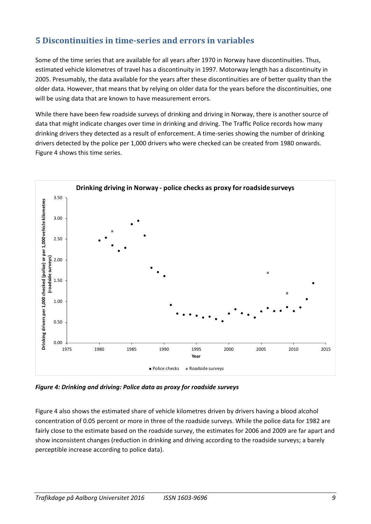### **5 Discontinuities in time-series and errors in variables**

Some of the time series that are available for all years after 1970 in Norway have discontinuities. Thus, estimated vehicle kilometres of travel has a discontinuity in 1997. Motorway length has a discontinuity in 2005. Presumably, the data available for the years after these discontinuities are of better quality than the older data. However, that means that by relying on older data for the years before the discontinuities, one will be using data that are known to have measurement errors.

While there have been few roadside surveys of drinking and driving in Norway, there is another source of data that might indicate changes over time in drinking and driving. The Traffic Police records how many drinking drivers they detected as a result of enforcement. A time-series showing the number of drinking drivers detected by the police per 1,000 drivers who were checked can be created from 1980 onwards. Figure 4 shows this time series.



*Figure 4: Drinking and driving: Police data as proxy for roadside surveys*

Figure 4 also shows the estimated share of vehicle kilometres driven by drivers having a blood alcohol concentration of 0.05 percent or more in three of the roadside surveys. While the police data for 1982 are fairly close to the estimate based on the roadside survey, the estimates for 2006 and 2009 are far apart and show inconsistent changes (reduction in drinking and driving according to the roadside surveys; a barely perceptible increase according to police data).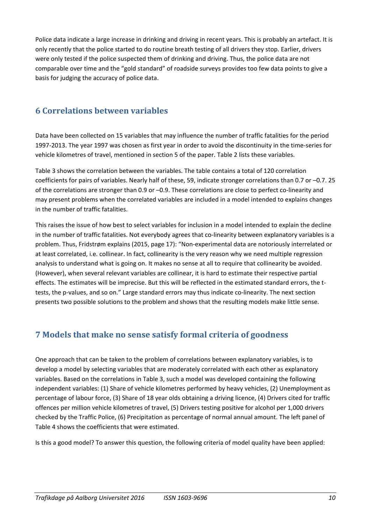Police data indicate a large increase in drinking and driving in recent years. This is probably an artefact. It is only recently that the police started to do routine breath testing of all drivers they stop. Earlier, drivers were only tested if the police suspected them of drinking and driving. Thus, the police data are not comparable over time and the "gold standard" of roadside surveys provides too few data points to give a basis for judging the accuracy of police data.

### **6 Correlations between variables**

Data have been collected on 15 variables that may influence the number of traffic fatalities for the period 1997-2013. The year 1997 was chosen as first year in order to avoid the discontinuity in the time-series for vehicle kilometres of travel, mentioned in section 5 of the paper. Table 2 lists these variables.

Table 3 shows the correlation between the variables. The table contains a total of 120 correlation coefficients for pairs of variables. Nearly half of these, 59, indicate stronger correlations than 0.7 or –0.7. 25 of the correlations are stronger than 0.9 or –0.9. These correlations are close to perfect co-linearity and may present problems when the correlated variables are included in a model intended to explains changes in the number of traffic fatalities.

This raises the issue of how best to select variables for inclusion in a model intended to explain the decline in the number of traffic fatalities. Not everybody agrees that co-linearity between explanatory variables is a problem. Thus, Fridstrøm explains (2015, page 17): "Non-experimental data are notoriously interrelated or at least correlated, i.e. collinear. In fact, collinearity is the very reason why we need multiple regression analysis to understand what is going on. It makes no sense at all to require that collinearity be avoided. (However), when several relevant variables are collinear, it is hard to estimate their respective partial effects. The estimates will be imprecise. But this will be reflected in the estimated standard errors, the ttests, the p-values, and so on." Large standard errors may thus indicate co-linearity. The next section presents two possible solutions to the problem and shows that the resulting models make little sense.

## **7 Models that make no sense satisfy formal criteria of goodness**

One approach that can be taken to the problem of correlations between explanatory variables, is to develop a model by selecting variables that are moderately correlated with each other as explanatory variables. Based on the correlations in Table 3, such a model was developed containing the following independent variables: (1) Share of vehicle kilometres performed by heavy vehicles, (2) Unemployment as percentage of labour force, (3) Share of 18 year olds obtaining a driving licence, (4) Drivers cited for traffic offences per million vehicle kilometres of travel, (5) Drivers testing positive for alcohol per 1,000 drivers checked by the Traffic Police, (6) Precipitation as percentage of normal annual amount. The left panel of Table 4 shows the coefficients that were estimated.

Is this a good model? To answer this question, the following criteria of model quality have been applied: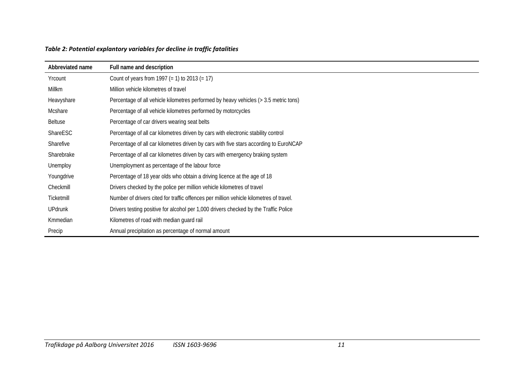| Abbreviated name | Full name and description                                                              |
|------------------|----------------------------------------------------------------------------------------|
| Yrcount          | Count of years from 1997 (= 1) to 2013 (= 17)                                          |
| Millkm           | Million vehicle kilometres of travel                                                   |
| Heavyshare       | Percentage of all vehicle kilometres performed by heavy vehicles (> 3.5 metric tons)   |
| Mcshare          | Percentage of all vehicle kilometres performed by motorcycles                          |
| <b>Beltuse</b>   | Percentage of car drivers wearing seat belts                                           |
| ShareESC         | Percentage of all car kilometres driven by cars with electronic stability control      |
| Sharefive        | Percentage of all car kilometres driven by cars with five stars according to EuroNCAP  |
| Sharebrake       | Percentage of all car kilometres driven by cars with emergency braking system          |
| Unemploy         | Unemployment as percentage of the labour force                                         |
| Youngdrive       | Percentage of 18 year olds who obtain a driving licence at the age of 18               |
| Checkmill        | Drivers checked by the police per million vehicle kilometres of travel                 |
| Ticketmill       | Number of drivers cited for traffic offences per million vehicle kilometres of travel. |
| <b>UPdrunk</b>   | Drivers testing positive for alcohol per 1,000 drivers checked by the Traffic Police   |
| Kmmedian         | Kilometres of road with median guard rail                                              |
| Precip           | Annual precipitation as percentage of normal amount                                    |

#### *Table 2: Potential explantory variables for decline in traffic fatalities*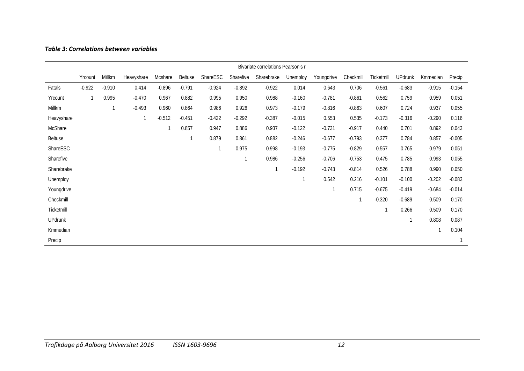#### *Table 3: Correlations between variables*

|                |          |          |            |          |          |          |           | Bivariate correlations Pearson's r |              |              |           |            |                |          |          |
|----------------|----------|----------|------------|----------|----------|----------|-----------|------------------------------------|--------------|--------------|-----------|------------|----------------|----------|----------|
|                | Yrcount  | Millkm   | Heavyshare | Mcshare  | Beltuse  | ShareESC | Sharefive | Sharebrake                         | Unemploy     | Youngdrive   | Checkmill | Ticketmill | <b>UPdrunk</b> | Kmmedian | Precip   |
| Fatals         | $-0.922$ | $-0.910$ | 0.414      | $-0.896$ | $-0.791$ | $-0.924$ | $-0.892$  | $-0.922$                           | 0.014        | 0.643        | 0.706     | $-0.561$   | $-0.683$       | $-0.915$ | $-0.154$ |
| Yrcount        | 1        | 0.995    | $-0.470$   | 0.967    | 0.882    | 0.995    | 0.950     | 0.988                              | $-0.160$     | $-0.781$     | $-0.861$  | 0.562      | 0.759          | 0.959    | 0.051    |
| Millkm         |          | 1        | $-0.493$   | 0.960    | 0.864    | 0.986    | 0.926     | 0.973                              | $-0.179$     | $-0.816$     | $-0.863$  | 0.607      | 0.724          | 0.937    | 0.055    |
| Heavyshare     |          |          |            | $-0.512$ | $-0.451$ | $-0.422$ | $-0.292$  | $-0.387$                           | $-0.015$     | 0.553        | 0.535     | $-0.173$   | $-0.316$       | $-0.290$ | 0.116    |
| McShare        |          |          |            |          | 0.857    | 0.947    | 0.886     | 0.937                              | $-0.122$     | $-0.731$     | $-0.917$  | 0.440      | 0.701          | 0.892    | 0.043    |
| <b>Beltuse</b> |          |          |            |          |          | 0.879    | 0.861     | 0.882                              | $-0.246$     | $-0.677$     | $-0.793$  | 0.377      | 0.784          | 0.857    | $-0.005$ |
| ShareESC       |          |          |            |          |          |          | 0.975     | 0.998                              | $-0.193$     | $-0.775$     | $-0.829$  | 0.557      | 0.765          | 0.979    | 0.051    |
| Sharefive      |          |          |            |          |          |          |           | 0.986                              | $-0.256$     | $-0.706$     | $-0.753$  | 0.475      | 0.785          | 0.993    | 0.055    |
| Sharebrake     |          |          |            |          |          |          |           | $\mathbf{1}$                       | $-0.192$     | $-0.743$     | $-0.814$  | 0.526      | 0.788          | 0.990    | 0.050    |
| Unemploy       |          |          |            |          |          |          |           |                                    | $\mathbf{1}$ | 0.542        | 0.216     | $-0.101$   | $-0.100$       | $-0.202$ | $-0.083$ |
| Youngdrive     |          |          |            |          |          |          |           |                                    |              | $\mathbf{1}$ | 0.715     | $-0.675$   | $-0.419$       | $-0.684$ | $-0.014$ |
| Checkmill      |          |          |            |          |          |          |           |                                    |              |              |           | $-0.320$   | $-0.689$       | 0.509    | 0.170    |
| Ticketmill     |          |          |            |          |          |          |           |                                    |              |              |           |            | 0.266          | 0.509    | 0.170    |
| <b>UPdrunk</b> |          |          |            |          |          |          |           |                                    |              |              |           |            | 1              | 0.808    | 0.087    |
| Kmmedian       |          |          |            |          |          |          |           |                                    |              |              |           |            |                | 1        | 0.104    |
| Precip         |          |          |            |          |          |          |           |                                    |              |              |           |            |                |          |          |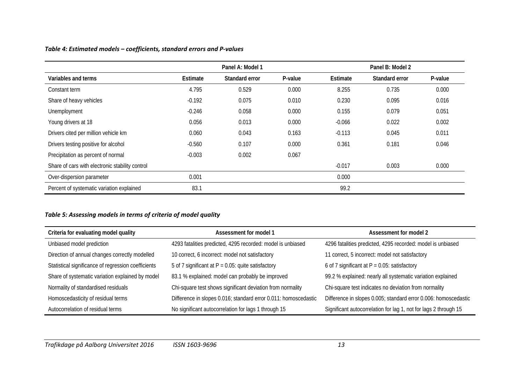#### *Table 4: Estimated models – coefficients, standard errors and P-values*

|                                                 |          | Panel A: Model 1 |         |          | Panel B: Model 2 |         |
|-------------------------------------------------|----------|------------------|---------|----------|------------------|---------|
| Variables and terms                             | Estimate | Standard error   | P-value | Estimate | Standard error   | P-value |
| Constant term                                   | 4.795    | 0.529            | 0.000   | 8.255    | 0.735            | 0.000   |
| Share of heavy vehicles                         | $-0.192$ | 0.075            | 0.010   | 0.230    | 0.095            | 0.016   |
| Unemployment                                    | $-0.246$ | 0.058            | 0.000   | 0.155    | 0.079            | 0.051   |
| Young drivers at 18                             | 0.056    | 0.013            | 0.000   | $-0.066$ | 0.022            | 0.002   |
| Drivers cited per million vehicle km            | 0.060    | 0.043            | 0.163   | $-0.113$ | 0.045            | 0.011   |
| Drivers testing positive for alcohol            | $-0.560$ | 0.107            | 0.000   | 0.361    | 0.181            | 0.046   |
| Precipitation as percent of normal              | $-0.003$ | 0.002            | 0.067   |          |                  |         |
| Share of cars with electronic stability control |          |                  |         | $-0.017$ | 0.003            | 0.000   |
| Over-dispersion parameter                       | 0.001    |                  |         | 0.000    |                  |         |
| Percent of systematic variation explained       | 83.1     |                  |         | 99.2     |                  |         |

#### *Table 5: Assessing models in terms of criteria of model quality*

| Criteria for evaluating model quality               | Assessment for model 1                                          | Assessment for model 2                                           |  |  |  |
|-----------------------------------------------------|-----------------------------------------------------------------|------------------------------------------------------------------|--|--|--|
| Unbiased model prediction                           | 4293 fatalities predicted, 4295 recorded: model is unbiased     | 4296 fatalities predicted, 4295 recorded: model is unbiased      |  |  |  |
| Direction of annual changes correctly modelled      | 10 correct, 6 incorrect: model not satisfactory                 | 11 correct, 5 incorrect: model not satisfactory                  |  |  |  |
| Statistical significance of regression coefficients | 5 of 7 significant at $P = 0.05$ : quite satisfactory           | 6 of 7 significant at $P = 0.05$ : satisfactory                  |  |  |  |
| Share of systematic variation explained by model    | 83.1 % explained: model can probably be improved                | 99.2 % explained: nearly all systematic variation explained      |  |  |  |
| Normality of standardised residuals                 | Chi-square test shows significant deviation from normality      | Chi-square test indicates no deviation from normality            |  |  |  |
| Homoscedasticity of residual terms                  | Difference in slopes 0.016; standard error 0.011: homoscedastic | Difference in slopes 0.005; standard error 0.006: homoscedastic  |  |  |  |
| Autocorrelation of residual terms                   | No significant autocorrelation for lags 1 through 15            | Significant autocorrelation for lag 1, not for lags 2 through 15 |  |  |  |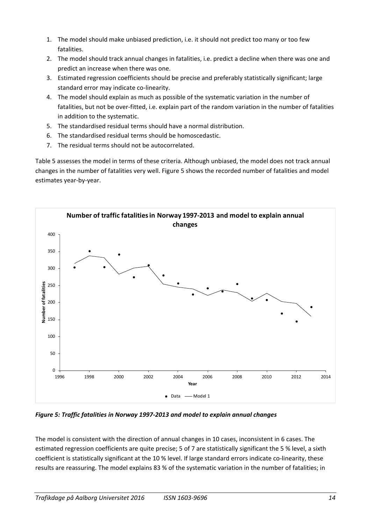- 1. The model should make unbiased prediction, i.e. it should not predict too many or too few fatalities.
- 2. The model should track annual changes in fatalities, i.e. predict a decline when there was one and predict an increase when there was one.
- 3. Estimated regression coefficients should be precise and preferably statistically significant; large standard error may indicate co-linearity.
- 4. The model should explain as much as possible of the systematic variation in the number of fatalities, but not be over-fitted, i.e. explain part of the random variation in the number of fatalities in addition to the systematic.
- 5. The standardised residual terms should have a normal distribution.
- 6. The standardised residual terms should be homoscedastic.
- 7. The residual terms should not be autocorrelated.

Table 5 assesses the model in terms of these criteria. Although unbiased, the model does not track annual changes in the number of fatalities very well. Figure 5 shows the recorded number of fatalities and model estimates year-by-year.



*Figure 5: Traffic fatalities in Norway 1997-2013 and model to explain annual changes*

The model is consistent with the direction of annual changes in 10 cases, inconsistent in 6 cases. The estimated regression coefficients are quite precise; 5 of 7 are statistically significant the 5 % level, a sixth coefficient is statistically significant at the 10 % level. If large standard errors indicate co-linearity, these results are reassuring. The model explains 83 % of the systematic variation in the number of fatalities; in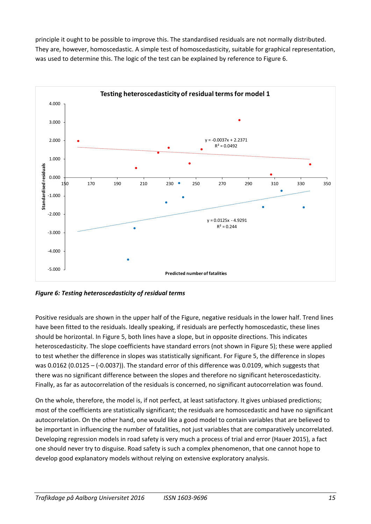principle it ought to be possible to improve this. The standardised residuals are not normally distributed. They are, however, homoscedastic. A simple test of homoscedasticity, suitable for graphical representation, was used to determine this. The logic of the test can be explained by reference to Figure 6.



*Figure 6: Testing heteroscedasticity of residual terms*

Positive residuals are shown in the upper half of the Figure, negative residuals in the lower half. Trend lines have been fitted to the residuals. Ideally speaking, if residuals are perfectly homoscedastic, these lines should be horizontal. In Figure 5, both lines have a slope, but in opposite directions. This indicates heteroscedasticity. The slope coefficients have standard errors (not shown in Figure 5); these were applied to test whether the difference in slopes was statistically significant. For Figure 5, the difference in slopes was 0.0162 (0.0125 – (-0.0037)). The standard error of this difference was 0.0109, which suggests that there was no significant difference between the slopes and therefore no significant heteroscedasticity. Finally, as far as autocorrelation of the residuals is concerned, no significant autocorrelation was found.

On the whole, therefore, the model is, if not perfect, at least satisfactory. It gives unbiased predictions; most of the coefficients are statistically significant; the residuals are homoscedastic and have no significant autocorrelation. On the other hand, one would like a good model to contain variables that are believed to be important in influencing the number of fatalities, not just variables that are comparatively uncorrelated. Developing regression models in road safety is very much a process of trial and error (Hauer 2015), a fact one should never try to disguise. Road safety is such a complex phenomenon, that one cannot hope to develop good explanatory models without relying on extensive exploratory analysis.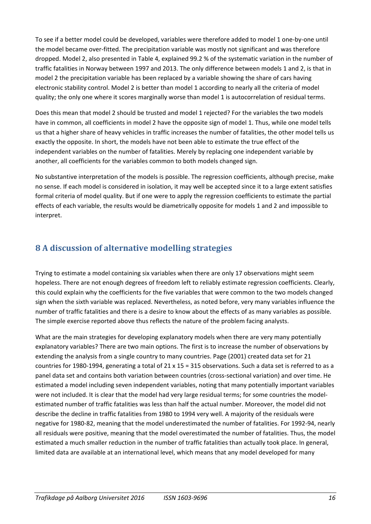To see if a better model could be developed, variables were therefore added to model 1 one-by-one until the model became over-fitted. The precipitation variable was mostly not significant and was therefore dropped. Model 2, also presented in Table 4, explained 99.2 % of the systematic variation in the number of traffic fatalities in Norway between 1997 and 2013. The only difference between models 1 and 2, is that in model 2 the precipitation variable has been replaced by a variable showing the share of cars having electronic stability control. Model 2 is better than model 1 according to nearly all the criteria of model quality; the only one where it scores marginally worse than model 1 is autocorrelation of residual terms.

Does this mean that model 2 should be trusted and model 1 rejected? For the variables the two models have in common, all coefficients in model 2 have the opposite sign of model 1. Thus, while one model tells us that a higher share of heavy vehicles in traffic increases the number of fatalities, the other model tells us exactly the opposite. In short, the models have not been able to estimate the true effect of the independent variables on the number of fatalities. Merely by replacing one independent variable by another, all coefficients for the variables common to both models changed sign.

No substantive interpretation of the models is possible. The regression coefficients, although precise, make no sense. If each model is considered in isolation, it may well be accepted since it to a large extent satisfies formal criteria of model quality. But if one were to apply the regression coefficients to estimate the partial effects of each variable, the results would be diametrically opposite for models 1 and 2 and impossible to interpret.

### **8 A discussion of alternative modelling strategies**

Trying to estimate a model containing six variables when there are only 17 observations might seem hopeless. There are not enough degrees of freedom left to reliably estimate regression coefficients. Clearly, this could explain why the coefficients for the five variables that were common to the two models changed sign when the sixth variable was replaced. Nevertheless, as noted before, very many variables influence the number of traffic fatalities and there is a desire to know about the effects of as many variables as possible. The simple exercise reported above thus reflects the nature of the problem facing analysts.

What are the main strategies for developing explanatory models when there are very many potentially explanatory variables? There are two main options. The first is to increase the number of observations by extending the analysis from a single country to many countries. Page (2001) created data set for 21 countries for 1980-1994, generating a total of 21 x 15 = 315 observations. Such a data set is referred to as a panel data set and contains both variation between countries (cross-sectional variation) and over time. He estimated a model including seven independent variables, noting that many potentially important variables were not included. It is clear that the model had very large residual terms; for some countries the modelestimated number of traffic fatalities was less than half the actual number. Moreover, the model did not describe the decline in traffic fatalities from 1980 to 1994 very well. A majority of the residuals were negative for 1980-82, meaning that the model underestimated the number of fatalities. For 1992-94, nearly all residuals were positive, meaning that the model overestimated the number of fatalities. Thus, the model estimated a much smaller reduction in the number of traffic fatalities than actually took place. In general, limited data are available at an international level, which means that any model developed for many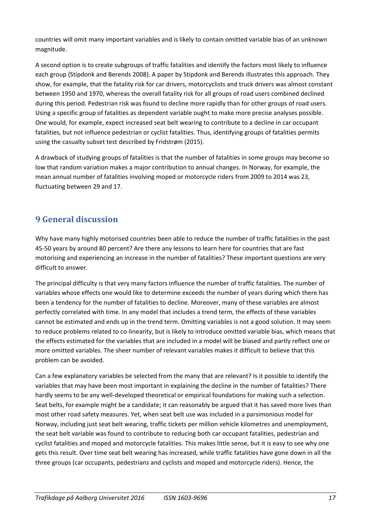countries will omit many important variables and is likely to contain omitted variable bias of an unknown magnitude.

A second option is to create subgroups of traffic fatalities and identify the factors most likely to influence each group (Stipdonk and Berends 2008). A paper by Stipdonk and Berends illustrates this approach. They show, for example, that the fatality risk for car drivers, motorcyclists and truck drivers was almost constant between 1950 and 1970, whereas the overall fatality risk for all groups of road users combined declined during this period. Pedestrian risk was found to decline more rapidly than for other groups of road users. Using a specific group of fatalities as dependent variable ought to make more precise analyses possible. One would, for example, expect increased seat belt wearing to contribute to a decline in car occupant fatalities, but not influence pedestrian or cyclist fatalities. Thus, identifying groups of fatalities permits using the casualty subset test described by Fridstrøm (2015).

A drawback of studying groups of fatalities is that the number of fatalities in some groups may become so low that random variation makes a major contribution to annual changes. In Norway, for example, the mean annual number of fatalities involving moped or motorcycle riders from 2009 to 2014 was 23, fluctuating between 29 and 17.

## **9 General discussion**

Why have many highly motorised countries been able to reduce the number of traffic fatalities in the past 45-50 years by around 80 percent? Are there any lessons to learn here for countries that are fast motorising and experiencing an increase in the number of fatalities? These important questions are very difficult to answer.

The principal difficulty is that very many factors influence the number of traffic fatalities. The number of variables whose effects one would like to determine exceeds the number of years during which there has been a tendency for the number of fatalities to decline. Moreover, many of these variables are almost perfectly correlated with time. In any model that includes a trend term, the effects of these variables cannot be estimated and ends up in the trend term. Omitting variables is not a good solution. It may seem to reduce problems related to co-linearity, but is likely to introduce omitted variable bias, which means that the effects estimated for the variables that are included in a model will be biased and partly reflect one or more omitted variables. The sheer number of relevant variables makes it difficult to believe that this problem can be avoided.

Can a few explanatory variables be selected from the many that are relevant? Is it possible to identify the variables that may have been most important in explaining the decline in the number of fatalities? There hardly seems to be any well-developed theoretical or empirical foundations for making such a selection. Seat belts, for example might be a candidate; it can reasonably be argued that it has saved more lives than most other road safety measures. Yet, when seat belt use was included in a parsimonious model for Norway, including just seat belt wearing, traffic tickets per million vehicle kilometres and unemployment, the seat belt variable was found to contribute to reducing both car occupant fatalities, pedestrian and cyclist fatalities and moped and motorcycle fatalities. This makes little sense, but it is easy to see why one gets this result. Over time seat belt wearing has increased, while traffic fatalities have gone down in all the three groups (car occupants, pedestrians and cyclists and moped and motorcycle riders). Hence, the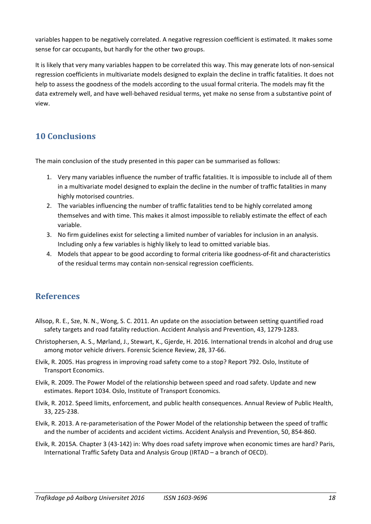variables happen to be negatively correlated. A negative regression coefficient is estimated. It makes some sense for car occupants, but hardly for the other two groups.

It is likely that very many variables happen to be correlated this way. This may generate lots of non-sensical regression coefficients in multivariate models designed to explain the decline in traffic fatalities. It does not help to assess the goodness of the models according to the usual formal criteria. The models may fit the data extremely well, and have well-behaved residual terms, yet make no sense from a substantive point of view.

### **10 Conclusions**

The main conclusion of the study presented in this paper can be summarised as follows:

- 1. Very many variables influence the number of traffic fatalities. It is impossible to include all of them in a multivariate model designed to explain the decline in the number of traffic fatalities in many highly motorised countries.
- 2. The variables influencing the number of traffic fatalities tend to be highly correlated among themselves and with time. This makes it almost impossible to reliably estimate the effect of each variable.
- 3. No firm guidelines exist for selecting a limited number of variables for inclusion in an analysis. Including only a few variables is highly likely to lead to omitted variable bias.
- 4. Models that appear to be good according to formal criteria like goodness-of-fit and characteristics of the residual terms may contain non-sensical regression coefficients.

### **References**

- Allsop, R. E., Sze, N. N., Wong, S. C. 2011. An update on the association between setting quantified road safety targets and road fatality reduction. Accident Analysis and Prevention, 43, 1279-1283.
- Christophersen, A. S., Mørland, J., Stewart, K., Gjerde, H. 2016. International trends in alcohol and drug use among motor vehicle drivers. Forensic Science Review, 28, 37-66.
- Elvik, R. 2005. Has progress in improving road safety come to a stop? Report 792. Oslo, Institute of Transport Economics.
- Elvik, R. 2009. The Power Model of the relationship between speed and road safety. Update and new estimates. Report 1034. Oslo, Institute of Transport Economics.
- Elvik, R. 2012. Speed limits, enforcement, and public health consequences. Annual Review of Public Health, 33, 225-238.
- Elvik, R. 2013. A re-parameterisation of the Power Model of the relationship between the speed of traffic and the number of accidents and accident victims. Accident Analysis and Prevention, 50, 854-860.
- Elvik, R. 2015A. Chapter 3 (43-142) in: Why does road safety improve when economic times are hard? Paris, International Traffic Safety Data and Analysis Group (IRTAD – a branch of OECD).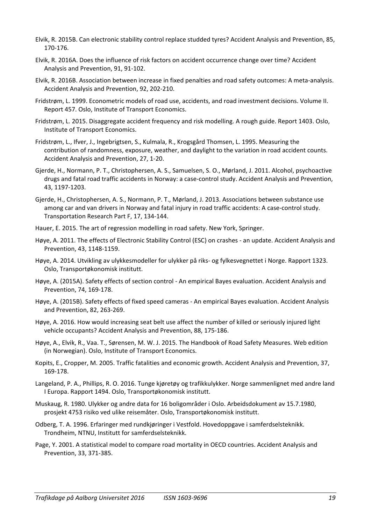- Elvik, R. 2015B. Can electronic stability control replace studded tyres? Accident Analysis and Prevention, 85, 170-176.
- Elvik, R. 2016A. Does the influence of risk factors on accident occurrence change over time? Accident Analysis and Prevention, 91, 91-102.
- Elvik, R. 2016B. Association between increase in fixed penalties and road safety outcomes: A meta-analysis. Accident Analysis and Prevention, 92, 202-210.
- Fridstrøm, L. 1999. Econometric models of road use, accidents, and road investment decisions. Volume II. Report 457. Oslo, Institute of Transport Economics.
- Fridstrøm, L. 2015. Disaggregate accident frequency and risk modelling. A rough guide. Report 1403. Oslo, Institute of Transport Economics.
- Fridstrøm, L., Ifver, J., Ingebrigtsen, S., Kulmala, R., Krogsgård Thomsen, L. 1995. Measuring the contribution of randomness, exposure, weather, and daylight to the variation in road accident counts. Accident Analysis and Prevention, 27, 1-20.
- Gjerde, H., Normann, P. T., Christophersen, A. S., Samuelsen, S. O., Mørland, J. 2011. Alcohol, psychoactive drugs and fatal road traffic accidents in Norway: a case-control study. Accident Analysis and Prevention, 43, 1197-1203.
- Gjerde, H., Christophersen, A. S., Normann, P. T., Mørland, J. 2013. Associations between substance use among car and van drivers in Norway and fatal injury in road traffic accidents: A case-control study. Transportation Research Part F, 17, 134-144.
- Hauer, E. 2015. The art of regression modelling in road safety. New York, Springer.
- Høye, A. 2011. The effects of Electronic Stability Control (ESC) on crashes an update. Accident Analysis and Prevention, 43, 1148-1159.
- Høye, A. 2014. Utvikling av ulykkesmodeller for ulykker på riks- og fylkesvegnettet i Norge. Rapport 1323. Oslo, Transportøkonomisk institutt.
- Høye, A. (2015A). Safety effects of section control An empirical Bayes evaluation. Accident Analysis and Prevention, 74, 169-178.
- Høye, A. (2015B). Safety effects of fixed speed cameras An empirical Bayes evaluation. Accident Analysis and Prevention, 82, 263-269.
- Høye, A. 2016. How would increasing seat belt use affect the number of killed or seriously injured light vehicle occupants? Accident Analysis and Prevention, 88, 175-186.
- Høye, A., Elvik, R., Vaa. T., Sørensen, M. W. J. 2015. The Handbook of Road Safety Measures. Web edition (in Norwegian). Oslo, Institute of Transport Economics.
- Kopits, E., Cropper, M. 2005. Traffic fatalities and economic growth. Accident Analysis and Prevention, 37, 169-178.
- Langeland, P. A., Phillips, R. O. 2016. Tunge kjøretøy og trafikkulykker. Norge sammenlignet med andre land I Europa. Rapport 1494. Oslo, Transportøkonomisk institutt.
- Muskaug, R. 1980. Ulykker og andre data for 16 boligområder i Oslo. Arbeidsdokument av 15.7.1980, prosjekt 4753 risiko ved ulike reisemåter. Oslo, Transportøkonomisk institutt.
- Odberg, T. A. 1996. Erfaringer med rundkjøringer i Vestfold. Hovedoppgave i samferdselsteknikk. Trondheim, NTNU, Institutt for samferdselsteknikk.
- Page, Y. 2001. A statistical model to compare road mortality in OECD countries. Accident Analysis and Prevention, 33, 371-385.